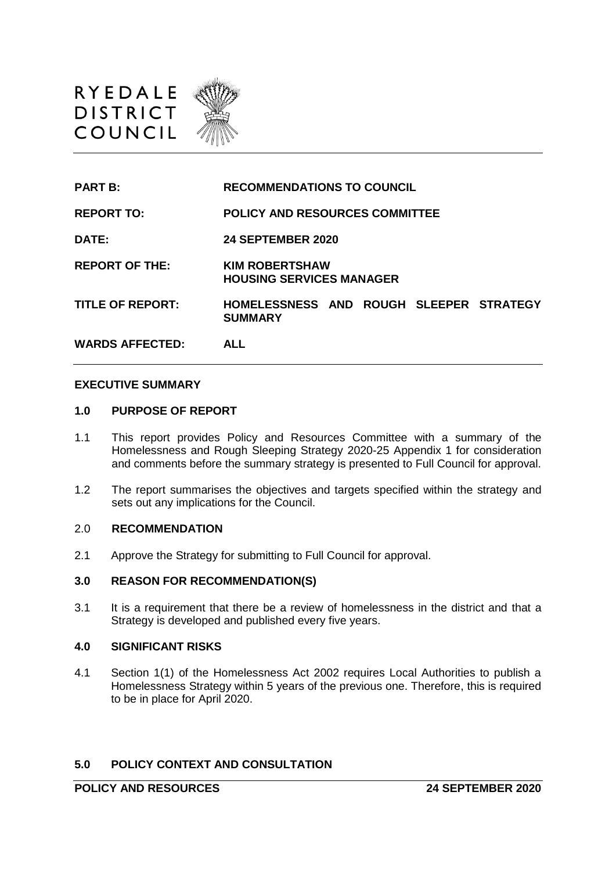

| <b>PART B:</b>          | <b>RECOMMENDATIONS TO COUNCIL</b>                         |
|-------------------------|-----------------------------------------------------------|
| <b>REPORT TO:</b>       | <b>POLICY AND RESOURCES COMMITTEE</b>                     |
| DATE:                   | <b>24 SEPTEMBER 2020</b>                                  |
| <b>REPORT OF THE:</b>   | <b>KIM ROBERTSHAW</b><br><b>HOUSING SERVICES MANAGER</b>  |
| <b>TITLE OF REPORT:</b> | HOMELESSNESS AND ROUGH SLEEPER STRATEGY<br><b>SUMMARY</b> |
| <b>WARDS AFFECTED:</b>  | <b>ALL</b>                                                |

#### **EXECUTIVE SUMMARY**

#### **1.0 PURPOSE OF REPORT**

- 1.1 This report provides Policy and Resources Committee with a summary of the Homelessness and Rough Sleeping Strategy 2020-25 Appendix 1 for consideration and comments before the summary strategy is presented to Full Council for approval.
- 1.2 The report summarises the objectives and targets specified within the strategy and sets out any implications for the Council.

#### 2.0 **RECOMMENDATION**

2.1 Approve the Strategy for submitting to Full Council for approval.

#### **3.0 REASON FOR RECOMMENDATION(S)**

3.1 It is a requirement that there be a review of homelessness in the district and that a Strategy is developed and published every five years.

### **4.0 SIGNIFICANT RISKS**

4.1 Section 1(1) of the Homelessness Act 2002 requires Local Authorities to publish a Homelessness Strategy within 5 years of the previous one. Therefore, this is required to be in place for April 2020.

### **5.0 POLICY CONTEXT AND CONSULTATION**

**POLICY AND RESOURCES 24 SEPTEMBER 2020**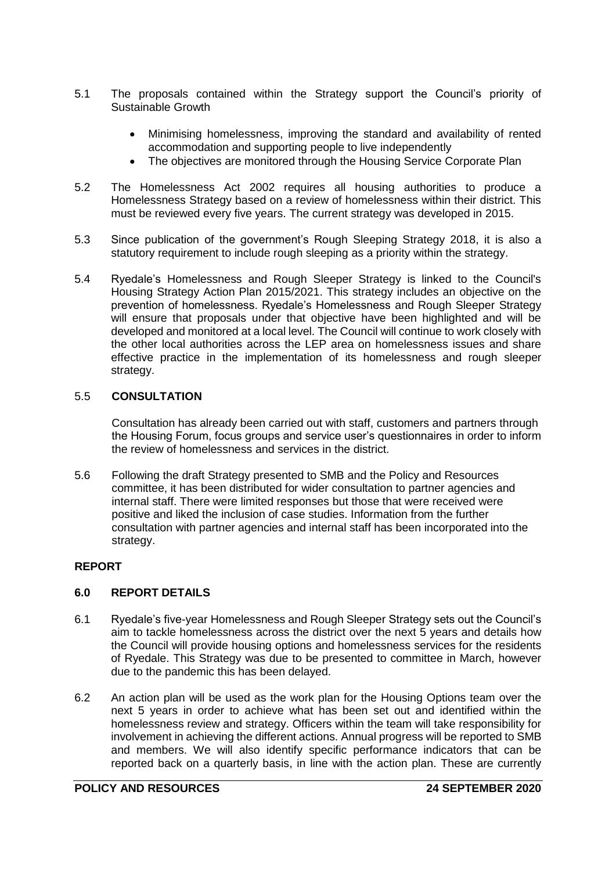- 5.1 The proposals contained within the Strategy support the Council's priority of Sustainable Growth
	- Minimising homelessness, improving the standard and availability of rented accommodation and supporting people to live independently
	- The objectives are monitored through the Housing Service Corporate Plan
- 5.2 The Homelessness Act 2002 requires all housing authorities to produce a Homelessness Strategy based on a review of homelessness within their district. This must be reviewed every five years. The current strategy was developed in 2015.
- 5.3 Since publication of the government's Rough Sleeping Strategy 2018, it is also a statutory requirement to include rough sleeping as a priority within the strategy.
- 5.4 Ryedale's Homelessness and Rough Sleeper Strategy is linked to the Council's Housing Strategy Action Plan 2015/2021. This strategy includes an objective on the prevention of homelessness. Ryedale's Homelessness and Rough Sleeper Strategy will ensure that proposals under that objective have been highlighted and will be developed and monitored at a local level. The Council will continue to work closely with the other local authorities across the LEP area on homelessness issues and share effective practice in the implementation of its homelessness and rough sleeper strategy.

## 5.5 **CONSULTATION**

Consultation has already been carried out with staff, customers and partners through the Housing Forum, focus groups and service user's questionnaires in order to inform the review of homelessness and services in the district.

5.6 Following the draft Strategy presented to SMB and the Policy and Resources committee, it has been distributed for wider consultation to partner agencies and internal staff. There were limited responses but those that were received were positive and liked the inclusion of case studies. Information from the further consultation with partner agencies and internal staff has been incorporated into the strategy.

## **REPORT**

## **6.0 REPORT DETAILS**

- 6.1 Ryedale's five-year Homelessness and Rough Sleeper Strategy sets out the Council's aim to tackle homelessness across the district over the next 5 years and details how the Council will provide housing options and homelessness services for the residents of Ryedale. This Strategy was due to be presented to committee in March, however due to the pandemic this has been delayed.
- 6.2 An action plan will be used as the work plan for the Housing Options team over the next 5 years in order to achieve what has been set out and identified within the homelessness review and strategy. Officers within the team will take responsibility for involvement in achieving the different actions. Annual progress will be reported to SMB and members. We will also identify specific performance indicators that can be reported back on a quarterly basis, in line with the action plan. These are currently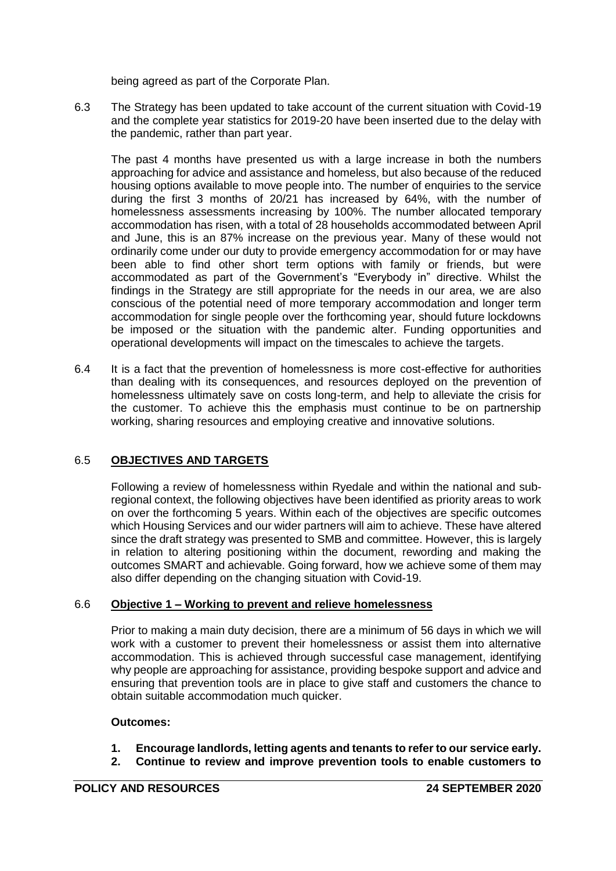being agreed as part of the Corporate Plan.

6.3 The Strategy has been updated to take account of the current situation with Covid-19 and the complete year statistics for 2019-20 have been inserted due to the delay with the pandemic, rather than part year.

The past 4 months have presented us with a large increase in both the numbers approaching for advice and assistance and homeless, but also because of the reduced housing options available to move people into. The number of enquiries to the service during the first 3 months of 20/21 has increased by 64%, with the number of homelessness assessments increasing by 100%. The number allocated temporary accommodation has risen, with a total of 28 households accommodated between April and June, this is an 87% increase on the previous year. Many of these would not ordinarily come under our duty to provide emergency accommodation for or may have been able to find other short term options with family or friends, but were accommodated as part of the Government's "Everybody in" directive. Whilst the findings in the Strategy are still appropriate for the needs in our area, we are also conscious of the potential need of more temporary accommodation and longer term accommodation for single people over the forthcoming year, should future lockdowns be imposed or the situation with the pandemic alter. Funding opportunities and operational developments will impact on the timescales to achieve the targets.

6.4 It is a fact that the prevention of homelessness is more cost-effective for authorities than dealing with its consequences, and resources deployed on the prevention of homelessness ultimately save on costs long-term, and help to alleviate the crisis for the customer. To achieve this the emphasis must continue to be on partnership working, sharing resources and employing creative and innovative solutions.

# 6.5 **OBJECTIVES AND TARGETS**

Following a review of homelessness within Ryedale and within the national and subregional context, the following objectives have been identified as priority areas to work on over the forthcoming 5 years. Within each of the objectives are specific outcomes which Housing Services and our wider partners will aim to achieve. These have altered since the draft strategy was presented to SMB and committee. However, this is largely in relation to altering positioning within the document, rewording and making the outcomes SMART and achievable. Going forward, how we achieve some of them may also differ depending on the changing situation with Covid-19.

## 6.6 **Objective 1 – Working to prevent and relieve homelessness**

Prior to making a main duty decision, there are a minimum of 56 days in which we will work with a customer to prevent their homelessness or assist them into alternative accommodation. This is achieved through successful case management, identifying why people are approaching for assistance, providing bespoke support and advice and ensuring that prevention tools are in place to give staff and customers the chance to obtain suitable accommodation much quicker.

## **Outcomes:**

- **1. Encourage landlords, letting agents and tenants to refer to our service early.**
- **2. Continue to review and improve prevention tools to enable customers to**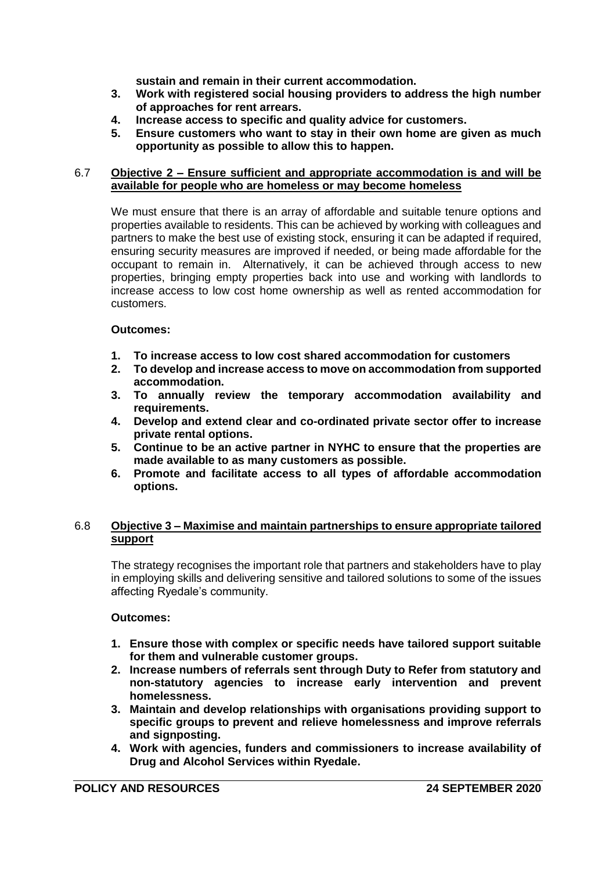**sustain and remain in their current accommodation.**

- **3. Work with registered social housing providers to address the high number of approaches for rent arrears.**
- **4. Increase access to specific and quality advice for customers.**
- **5. Ensure customers who want to stay in their own home are given as much opportunity as possible to allow this to happen.**

### 6.7 **Objective 2 – Ensure sufficient and appropriate accommodation is and will be available for people who are homeless or may become homeless**

We must ensure that there is an array of affordable and suitable tenure options and properties available to residents. This can be achieved by working with colleagues and partners to make the best use of existing stock, ensuring it can be adapted if required, ensuring security measures are improved if needed, or being made affordable for the occupant to remain in. Alternatively, it can be achieved through access to new properties, bringing empty properties back into use and working with landlords to increase access to low cost home ownership as well as rented accommodation for customers.

## **Outcomes:**

- **1. To increase access to low cost shared accommodation for customers**
- **2. To develop and increase access to move on accommodation from supported accommodation.**
- **3. To annually review the temporary accommodation availability and requirements.**
- **4. Develop and extend clear and co-ordinated private sector offer to increase private rental options.**
- **5. Continue to be an active partner in NYHC to ensure that the properties are made available to as many customers as possible.**
- **6. Promote and facilitate access to all types of affordable accommodation options.**

## 6.8 **Objective 3 – Maximise and maintain partnerships to ensure appropriate tailored support**

The strategy recognises the important role that partners and stakeholders have to play in employing skills and delivering sensitive and tailored solutions to some of the issues affecting Ryedale's community.

## **Outcomes:**

- **1. Ensure those with complex or specific needs have tailored support suitable for them and vulnerable customer groups.**
- **2. Increase numbers of referrals sent through Duty to Refer from statutory and non-statutory agencies to increase early intervention and prevent homelessness.**
- **3. Maintain and develop relationships with organisations providing support to specific groups to prevent and relieve homelessness and improve referrals and signposting.**
- **4. Work with agencies, funders and commissioners to increase availability of Drug and Alcohol Services within Ryedale.**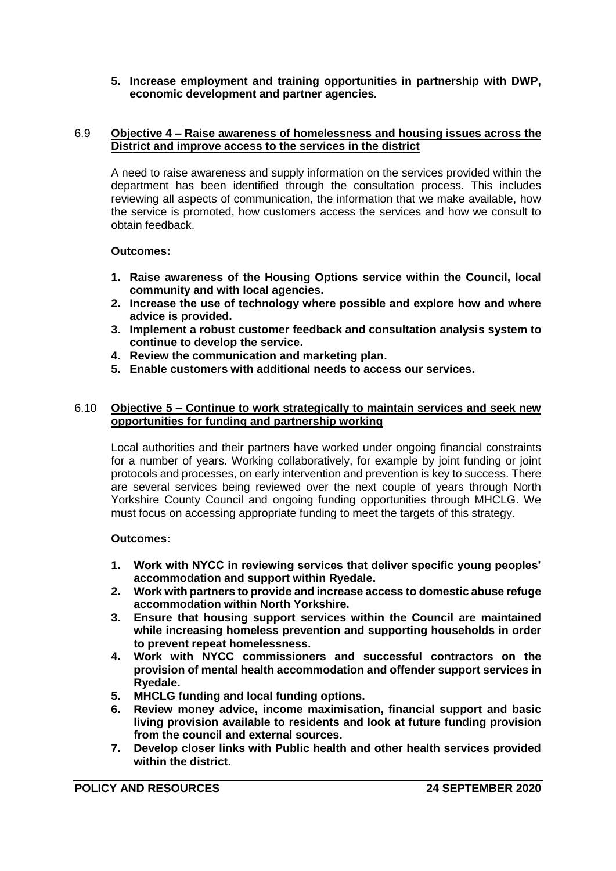## **5. Increase employment and training opportunities in partnership with DWP, economic development and partner agencies.**

## 6.9 **Objective 4 – Raise awareness of homelessness and housing issues across the District and improve access to the services in the district**

A need to raise awareness and supply information on the services provided within the department has been identified through the consultation process. This includes reviewing all aspects of communication, the information that we make available, how the service is promoted, how customers access the services and how we consult to obtain feedback.

## **Outcomes:**

- **1. Raise awareness of the Housing Options service within the Council, local community and with local agencies.**
- **2. Increase the use of technology where possible and explore how and where advice is provided.**
- **3. Implement a robust customer feedback and consultation analysis system to continue to develop the service.**
- **4. Review the communication and marketing plan.**
- **5. Enable customers with additional needs to access our services.**

## 6.10 **Objective 5 – Continue to work strategically to maintain services and seek new opportunities for funding and partnership working**

Local authorities and their partners have worked under ongoing financial constraints for a number of years. Working collaboratively, for example by joint funding or joint protocols and processes, on early intervention and prevention is key to success. There are several services being reviewed over the next couple of years through North Yorkshire County Council and ongoing funding opportunities through MHCLG. We must focus on accessing appropriate funding to meet the targets of this strategy.

## **Outcomes:**

- **1. Work with NYCC in reviewing services that deliver specific young peoples' accommodation and support within Ryedale.**
- **2. Work with partners to provide and increase access to domestic abuse refuge accommodation within North Yorkshire.**
- **3. Ensure that housing support services within the Council are maintained while increasing homeless prevention and supporting households in order to prevent repeat homelessness.**
- **4. Work with NYCC commissioners and successful contractors on the provision of mental health accommodation and offender support services in Ryedale.**
- **5. MHCLG funding and local funding options.**
- **6. Review money advice, income maximisation, financial support and basic living provision available to residents and look at future funding provision from the council and external sources.**
- **7. Develop closer links with Public health and other health services provided within the district.**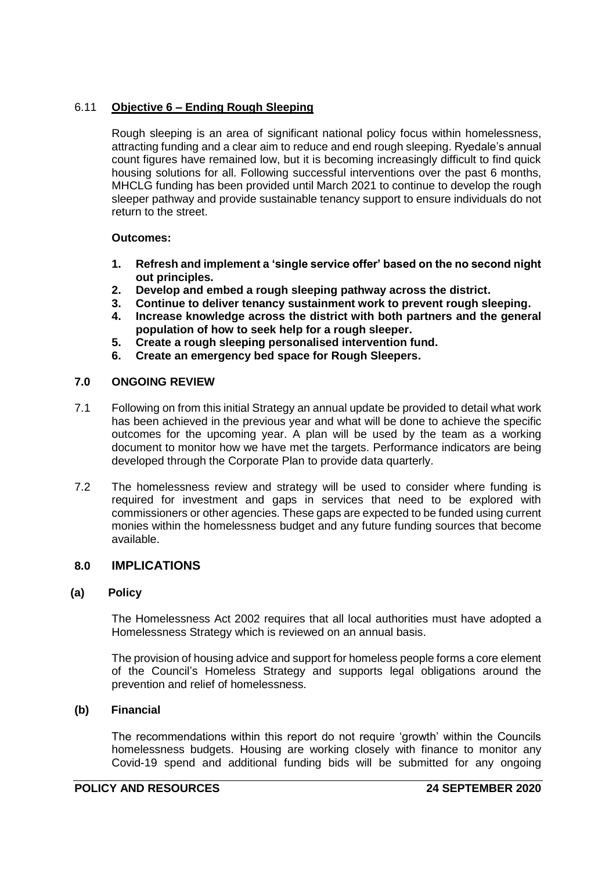# 6.11 **Objective 6 – Ending Rough Sleeping**

Rough sleeping is an area of significant national policy focus within homelessness, attracting funding and a clear aim to reduce and end rough sleeping. Ryedale's annual count figures have remained low, but it is becoming increasingly difficult to find quick housing solutions for all. Following successful interventions over the past 6 months, MHCLG funding has been provided until March 2021 to continue to develop the rough sleeper pathway and provide sustainable tenancy support to ensure individuals do not return to the street.

# **Outcomes:**

- **1. Refresh and implement a 'single service offer' based on the no second night out principles.**
- **2. Develop and embed a rough sleeping pathway across the district.**
- **3. Continue to deliver tenancy sustainment work to prevent rough sleeping.**
- **4. Increase knowledge across the district with both partners and the general population of how to seek help for a rough sleeper.**
- **5. Create a rough sleeping personalised intervention fund.**
- **6. Create an emergency bed space for Rough Sleepers.**

## **7.0 ONGOING REVIEW**

- 7.1 Following on from this initial Strategy an annual update be provided to detail what work has been achieved in the previous year and what will be done to achieve the specific outcomes for the upcoming year. A plan will be used by the team as a working document to monitor how we have met the targets. Performance indicators are being developed through the Corporate Plan to provide data quarterly.
- 7.2 The homelessness review and strategy will be used to consider where funding is required for investment and gaps in services that need to be explored with commissioners or other agencies. These gaps are expected to be funded using current monies within the homelessness budget and any future funding sources that become available.

# **8.0 IMPLICATIONS**

## **(a) Policy**

The Homelessness Act 2002 requires that all local authorities must have adopted a Homelessness Strategy which is reviewed on an annual basis.

The provision of housing advice and support for homeless people forms a core element of the Council's Homeless Strategy and supports legal obligations around the prevention and relief of homelessness.

## **(b) Financial**

The recommendations within this report do not require 'growth' within the Councils homelessness budgets. Housing are working closely with finance to monitor any Covid-19 spend and additional funding bids will be submitted for any ongoing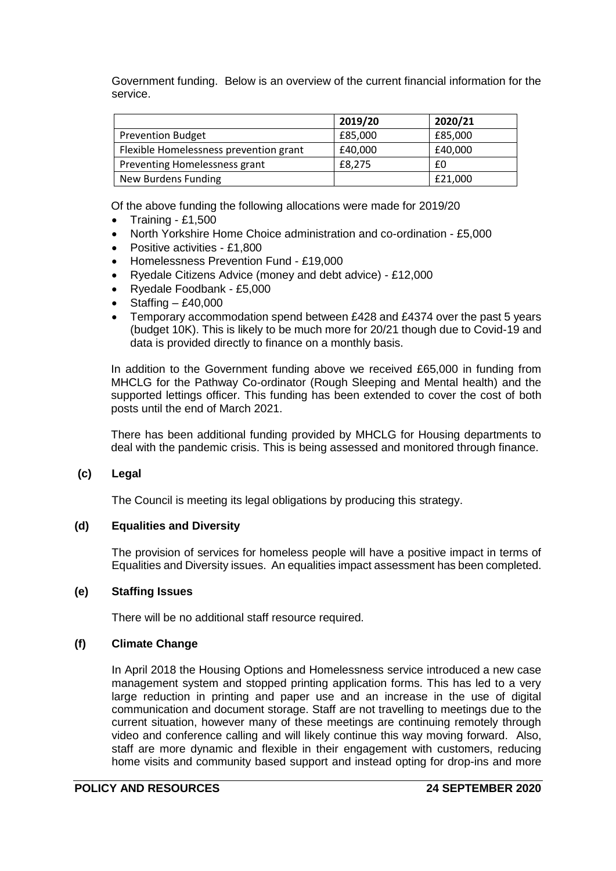Government funding. Below is an overview of the current financial information for the service.

|                                        | 2019/20 | 2020/21 |
|----------------------------------------|---------|---------|
| <b>Prevention Budget</b>               | £85,000 | £85,000 |
| Flexible Homelessness prevention grant | £40,000 | £40,000 |
| Preventing Homelessness grant          | £8.275  | £0      |
| New Burdens Funding                    |         | £21.000 |

Of the above funding the following allocations were made for 2019/20

- Training £1,500
- North Yorkshire Home Choice administration and co-ordination £5,000
- Positive activities £1,800
- Homelessness Prevention Fund £19,000
- Ryedale Citizens Advice (money and debt advice) £12,000
- Ryedale Foodbank £5,000
- Staffing £40,000
- Temporary accommodation spend between £428 and £4374 over the past 5 years (budget 10K). This is likely to be much more for 20/21 though due to Covid-19 and data is provided directly to finance on a monthly basis.

In addition to the Government funding above we received £65,000 in funding from MHCLG for the Pathway Co-ordinator (Rough Sleeping and Mental health) and the supported lettings officer. This funding has been extended to cover the cost of both posts until the end of March 2021.

There has been additional funding provided by MHCLG for Housing departments to deal with the pandemic crisis. This is being assessed and monitored through finance.

## **(c) Legal**

The Council is meeting its legal obligations by producing this strategy.

## **(d) Equalities and Diversity**

The provision of services for homeless people will have a positive impact in terms of Equalities and Diversity issues. An equalities impact assessment has been completed.

## **(e) Staffing Issues**

There will be no additional staff resource required.

## **(f) Climate Change**

In April 2018 the Housing Options and Homelessness service introduced a new case management system and stopped printing application forms. This has led to a very large reduction in printing and paper use and an increase in the use of digital communication and document storage. Staff are not travelling to meetings due to the current situation, however many of these meetings are continuing remotely through video and conference calling and will likely continue this way moving forward. Also, staff are more dynamic and flexible in their engagement with customers, reducing home visits and community based support and instead opting for drop-ins and more